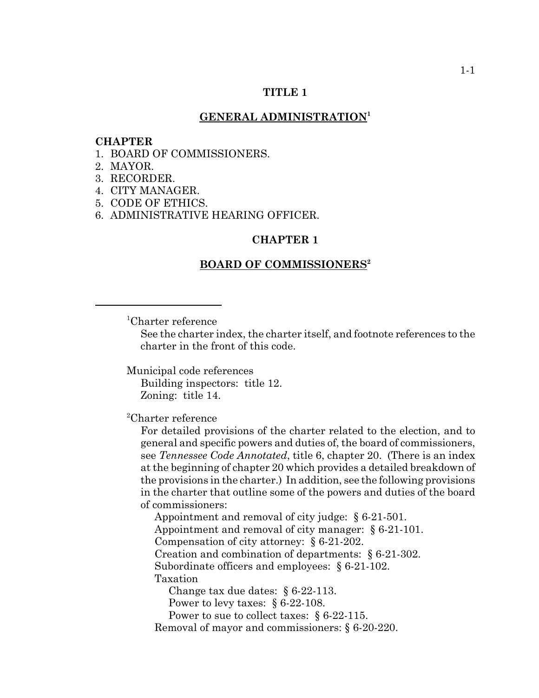# **TITLE 1**

# **GENERAL ADMINISTRATION<sup>1</sup>**

#### **CHAPTER**

- 1. BOARD OF COMMISSIONERS.
- 2. MAYOR.
- 3. RECORDER.
- 4. CITY MANAGER.
- 5. CODE OF ETHICS.
- 6. ADMINISTRATIVE HEARING OFFICER.

#### **CHAPTER 1**

### **BOARD OF COMMISSIONERS2**

1 Charter reference

See the charter index, the charter itself, and footnote references to the charter in the front of this code.

Municipal code references

Building inspectors: title 12. Zoning: title 14.

2 Charter reference

For detailed provisions of the charter related to the election, and to general and specific powers and duties of, the board of commissioners, see *Tennessee Code Annotated*, title 6, chapter 20. (There is an index at the beginning of chapter 20 which provides a detailed breakdown of the provisions in the charter.) In addition, see the following provisions in the charter that outline some of the powers and duties of the board of commissioners:

Appointment and removal of city judge: § 6-21-501. Appointment and removal of city manager: § 6-21-101. Compensation of city attorney: § 6-21-202. Creation and combination of departments: § 6-21-302. Subordinate officers and employees: § 6-21-102. Taxation Change tax due dates: § 6-22-113.

Power to levy taxes: § 6-22-108.

Power to sue to collect taxes: § 6-22-115.

Removal of mayor and commissioners: § 6-20-220.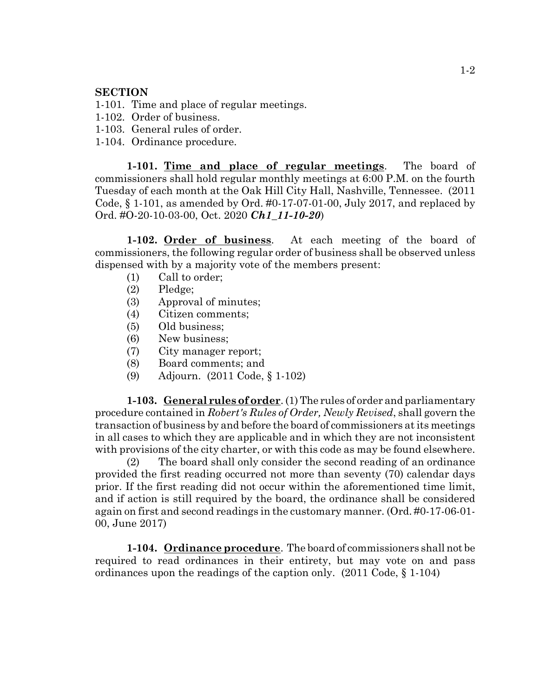# **SECTION**

- 1-101. Time and place of regular meetings.
- 1-102. Order of business.
- 1-103. General rules of order.
- 1-104. Ordinance procedure.

**1-101. Time and place of regular meetings**. The board of commissioners shall hold regular monthly meetings at 6:00 P.M. on the fourth Tuesday of each month at the Oak Hill City Hall, Nashville, Tennessee. (2011 Code, § 1-101, as amended by Ord. #0-17-07-01-00, July 2017, and replaced by Ord. #O-20-10-03-00, Oct. 2020 *Ch1\_11-10-20*)

**1-102. Order of business**. At each meeting of the board of commissioners, the following regular order of business shall be observed unless dispensed with by a majority vote of the members present:

- (1) Call to order;
- (2) Pledge;
- (3) Approval of minutes;
- (4) Citizen comments;
- (5) Old business;
- (6) New business;
- (7) City manager report;
- (8) Board comments; and
- (9) Adjourn. (2011 Code, § 1-102)

**1-103. General rules of order**. (1) The rules of order and parliamentary procedure contained in *Robert's Rules of Order, Newly Revised*, shall govern the transaction of business by and before the board of commissioners at its meetings in all cases to which they are applicable and in which they are not inconsistent with provisions of the city charter, or with this code as may be found elsewhere.

(2) The board shall only consider the second reading of an ordinance provided the first reading occurred not more than seventy (70) calendar days prior. If the first reading did not occur within the aforementioned time limit, and if action is still required by the board, the ordinance shall be considered again on first and second readings in the customary manner. (Ord. #0-17-06-01- 00, June 2017)

**1-104. Ordinance procedure**. The board of commissioners shall not be required to read ordinances in their entirety, but may vote on and pass ordinances upon the readings of the caption only. (2011 Code, § 1-104)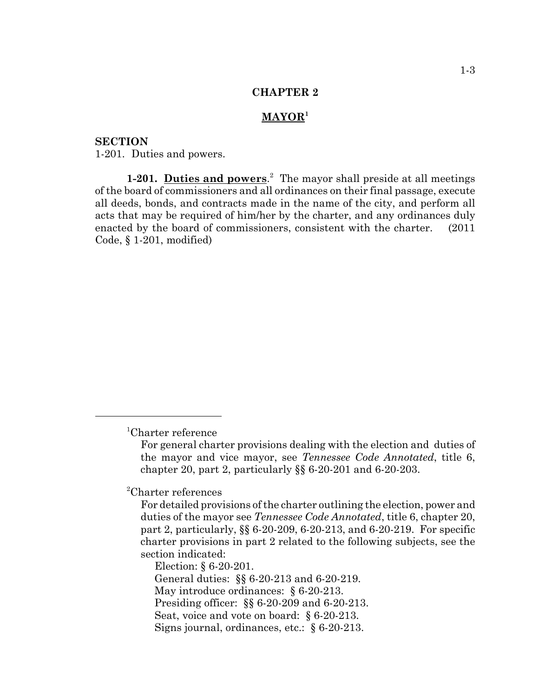# **MAYOR<sup>1</sup>**

**SECTION** 1-201. Duties and powers.

1-201. Duties and powers.<sup>2</sup> The mayor shall preside at all meetings of the board of commissioners and all ordinances on their final passage, execute all deeds, bonds, and contracts made in the name of the city, and perform all acts that may be required of him/her by the charter, and any ordinances duly enacted by the board of commissioners, consistent with the charter. (2011 Code, § 1-201, modified)

2 Charter references

Election: § 6-20-201. General duties: §§ 6-20-213 and 6-20-219. May introduce ordinances: § 6-20-213. Presiding officer: §§ 6-20-209 and 6-20-213. Seat, voice and vote on board: § 6-20-213. Signs journal, ordinances, etc.: § 6-20-213.

<sup>1</sup> Charter reference

For general charter provisions dealing with the election and duties of the mayor and vice mayor, see *Tennessee Code Annotated*, title 6, chapter 20, part 2, particularly §§ 6-20-201 and 6-20-203.

For detailed provisions of the charter outlining the election, power and duties of the mayor see *Tennessee Code Annotated*, title 6, chapter 20, part 2, particularly, §§ 6-20-209, 6-20-213, and 6-20-219. For specific charter provisions in part 2 related to the following subjects, see the section indicated: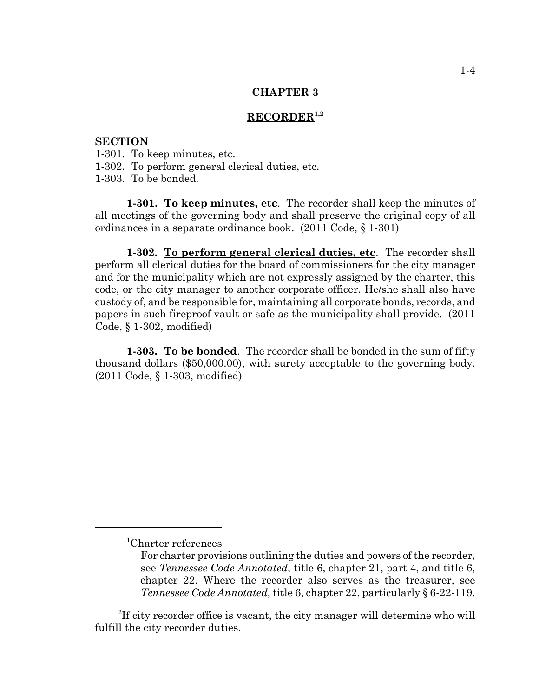# **RECORDER1,2**

### **SECTION**

- 1-301. To keep minutes, etc.
- 1-302. To perform general clerical duties, etc.
- 1-303. To be bonded.

**1-301. To keep minutes, etc**. The recorder shall keep the minutes of all meetings of the governing body and shall preserve the original copy of all ordinances in a separate ordinance book. (2011 Code, § 1-301)

**1-302. To perform general clerical duties, etc**. The recorder shall perform all clerical duties for the board of commissioners for the city manager and for the municipality which are not expressly assigned by the charter, this code, or the city manager to another corporate officer. He/she shall also have custody of, and be responsible for, maintaining all corporate bonds, records, and papers in such fireproof vault or safe as the municipality shall provide. (2011 Code, § 1-302, modified)

**1-303. To be bonded**. The recorder shall be bonded in the sum of fifty thousand dollars (\$50,000.00), with surety acceptable to the governing body. (2011 Code, § 1-303, modified)

<sup>1</sup> Charter references

For charter provisions outlining the duties and powers of the recorder, see *Tennessee Code Annotated*, title 6, chapter 21, part 4, and title 6, chapter 22. Where the recorder also serves as the treasurer, see *Tennessee Code Annotated*, title 6, chapter 22, particularly § 6-22-119.

<sup>&</sup>lt;sup>2</sup>If city recorder office is vacant, the city manager will determine who will fulfill the city recorder duties.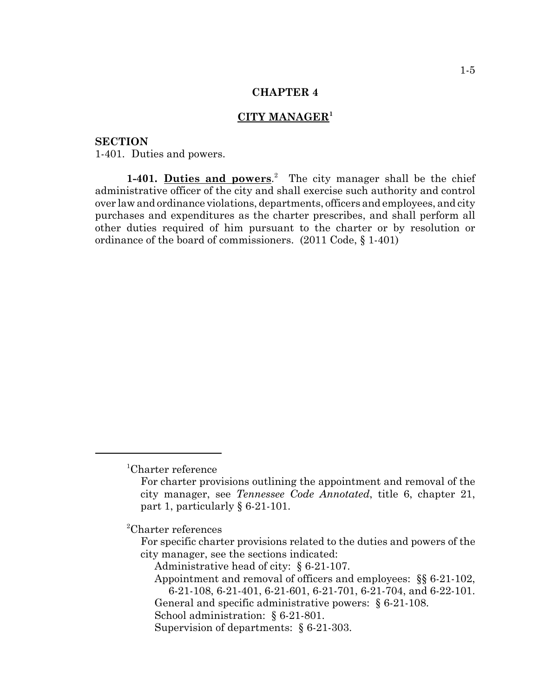# **CITY MANAGER<sup>1</sup>**

**SECTION** 1-401. Duties and powers.

1-401. Duties and powers.<sup>2</sup> The city manager shall be the chief administrative officer of the city and shall exercise such authority and control over law and ordinance violations, departments, officers and employees, and city purchases and expenditures as the charter prescribes, and shall perform all other duties required of him pursuant to the charter or by resolution or ordinance of the board of commissioners. (2011 Code, § 1-401)

2 Charter references

For specific charter provisions related to the duties and powers of the city manager, see the sections indicated:

Administrative head of city: § 6-21-107.

Appointment and removal of officers and employees: §§ 6-21-102, 6-21-108, 6-21-401, 6-21-601, 6-21-701, 6-21-704, and 6-22-101. General and specific administrative powers: § 6-21-108.

School administration: § 6-21-801.

Supervision of departments: § 6-21-303.

<sup>1</sup> Charter reference

For charter provisions outlining the appointment and removal of the city manager, see *Tennessee Code Annotated*, title 6, chapter 21, part 1, particularly § 6-21-101.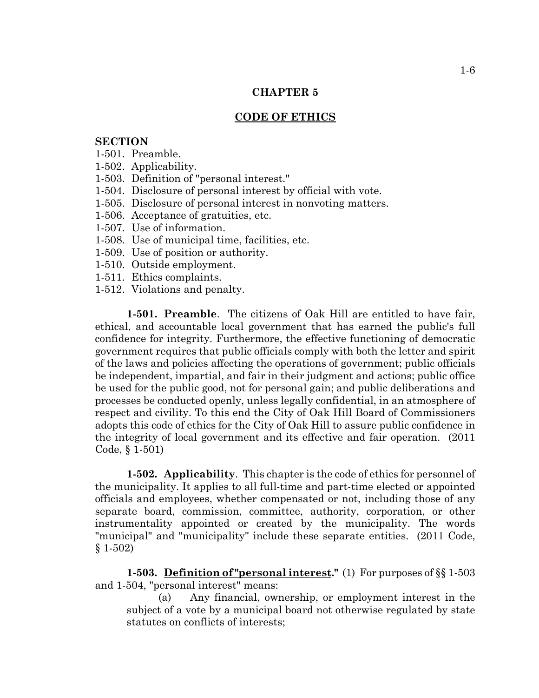# **CODE OF ETHICS**

# **SECTION**

- 1-501. Preamble.
- 1-502. Applicability.
- 1-503. Definition of "personal interest."
- 1-504. Disclosure of personal interest by official with vote.
- 1-505. Disclosure of personal interest in nonvoting matters.
- 1-506. Acceptance of gratuities, etc.
- 1-507. Use of information.
- 1-508. Use of municipal time, facilities, etc.
- 1-509. Use of position or authority.
- 1-510. Outside employment.
- 1-511. Ethics complaints.
- 1-512. Violations and penalty.

**1-501. Preamble**. The citizens of Oak Hill are entitled to have fair, ethical, and accountable local government that has earned the public's full confidence for integrity. Furthermore, the effective functioning of democratic government requires that public officials comply with both the letter and spirit of the laws and policies affecting the operations of government; public officials be independent, impartial, and fair in their judgment and actions; public office be used for the public good, not for personal gain; and public deliberations and processes be conducted openly, unless legally confidential, in an atmosphere of respect and civility. To this end the City of Oak Hill Board of Commissioners adopts this code of ethics for the City of Oak Hill to assure public confidence in the integrity of local government and its effective and fair operation. (2011 Code, § 1-501)

**1-502. Applicability**. This chapter is the code of ethics for personnel of the municipality. It applies to all full-time and part-time elected or appointed officials and employees, whether compensated or not, including those of any separate board, commission, committee, authority, corporation, or other instrumentality appointed or created by the municipality. The words "municipal" and "municipality" include these separate entities. (2011 Code, § 1-502)

**1-503. Definition of "personal interest."** (1) For purposes of §§ 1-503 and 1-504, "personal interest" means:

(a) Any financial, ownership, or employment interest in the subject of a vote by a municipal board not otherwise regulated by state statutes on conflicts of interests;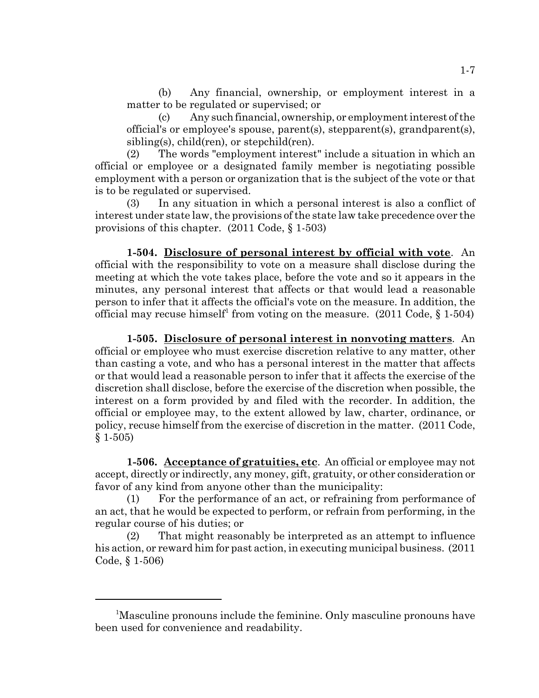(b) Any financial, ownership, or employment interest in a matter to be regulated or supervised; or

(c) Any such financial, ownership, or employment interest of the official's or employee's spouse, parent(s), stepparent(s), grandparent(s), sibling(s), child(ren), or stepchild(ren).

(2) The words "employment interest" include a situation in which an official or employee or a designated family member is negotiating possible employment with a person or organization that is the subject of the vote or that is to be regulated or supervised.

(3) In any situation in which a personal interest is also a conflict of interest under state law, the provisions of the state law take precedence over the provisions of this chapter. (2011 Code, § 1-503)

**1-504. Disclosure of personal interest by official with vote**. An official with the responsibility to vote on a measure shall disclose during the meeting at which the vote takes place, before the vote and so it appears in the minutes, any personal interest that affects or that would lead a reasonable person to infer that it affects the official's vote on the measure. In addition, the official may recuse himself<sup>1</sup> from voting on the measure.  $(2011 \text{ Code}, \S 1-504)$ 

**1-505. Disclosure of personal interest in nonvoting matters**. An official or employee who must exercise discretion relative to any matter, other than casting a vote, and who has a personal interest in the matter that affects or that would lead a reasonable person to infer that it affects the exercise of the discretion shall disclose, before the exercise of the discretion when possible, the interest on a form provided by and filed with the recorder. In addition, the official or employee may, to the extent allowed by law, charter, ordinance, or policy, recuse himself from the exercise of discretion in the matter. (2011 Code, § 1-505)

**1-506. Acceptance of gratuities, etc**. An official or employee may not accept, directly or indirectly, any money, gift, gratuity, or other consideration or favor of any kind from anyone other than the municipality:

(1) For the performance of an act, or refraining from performance of an act, that he would be expected to perform, or refrain from performing, in the regular course of his duties; or

(2) That might reasonably be interpreted as an attempt to influence his action, or reward him for past action, in executing municipal business. (2011 Code, § 1-506)

<sup>&</sup>lt;sup>1</sup>Masculine pronouns include the feminine. Only masculine pronouns have been used for convenience and readability.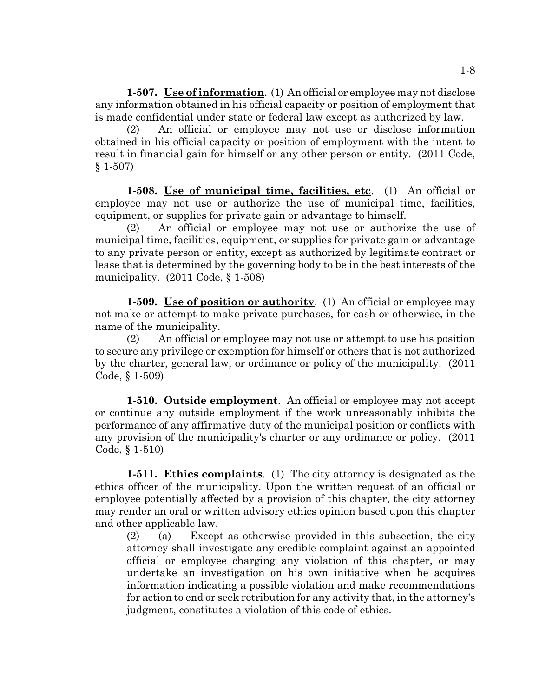**1-507. Use of information**. (1) An official or employee may not disclose any information obtained in his official capacity or position of employment that is made confidential under state or federal law except as authorized by law.

(2) An official or employee may not use or disclose information obtained in his official capacity or position of employment with the intent to result in financial gain for himself or any other person or entity. (2011 Code, § 1-507)

**1-508. Use of municipal time, facilities, etc**. (1) An official or employee may not use or authorize the use of municipal time, facilities, equipment, or supplies for private gain or advantage to himself.

(2) An official or employee may not use or authorize the use of municipal time, facilities, equipment, or supplies for private gain or advantage to any private person or entity, except as authorized by legitimate contract or lease that is determined by the governing body to be in the best interests of the municipality. (2011 Code, § 1-508)

**1-509. Use of position or authority**. (1) An official or employee may not make or attempt to make private purchases, for cash or otherwise, in the name of the municipality.

(2) An official or employee may not use or attempt to use his position to secure any privilege or exemption for himself or others that is not authorized by the charter, general law, or ordinance or policy of the municipality. (2011 Code, § 1-509)

**1-510. Outside employment**. An official or employee may not accept or continue any outside employment if the work unreasonably inhibits the performance of any affirmative duty of the municipal position or conflicts with any provision of the municipality's charter or any ordinance or policy. (2011 Code, § 1-510)

**1-511. Ethics complaints**. (1) The city attorney is designated as the ethics officer of the municipality. Upon the written request of an official or employee potentially affected by a provision of this chapter, the city attorney may render an oral or written advisory ethics opinion based upon this chapter and other applicable law.

(2) (a) Except as otherwise provided in this subsection, the city attorney shall investigate any credible complaint against an appointed official or employee charging any violation of this chapter, or may undertake an investigation on his own initiative when he acquires information indicating a possible violation and make recommendations for action to end or seek retribution for any activity that, in the attorney's judgment, constitutes a violation of this code of ethics.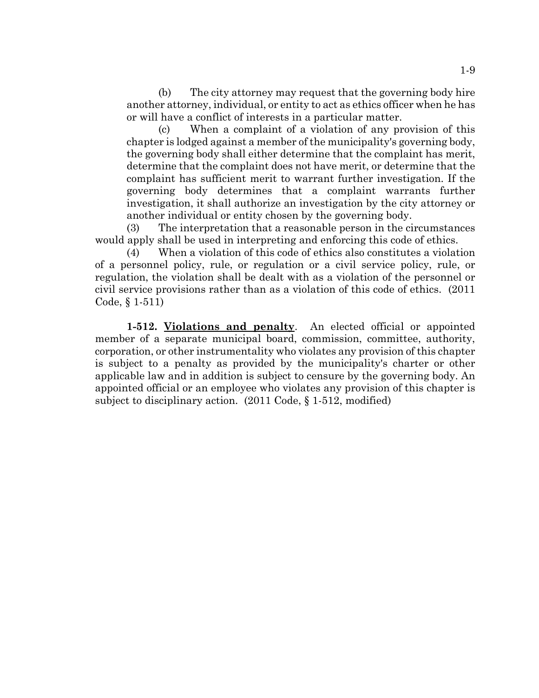(b) The city attorney may request that the governing body hire another attorney, individual, or entity to act as ethics officer when he has or will have a conflict of interests in a particular matter.

(c) When a complaint of a violation of any provision of this chapter is lodged against a member of the municipality's governing body, the governing body shall either determine that the complaint has merit, determine that the complaint does not have merit, or determine that the complaint has sufficient merit to warrant further investigation. If the governing body determines that a complaint warrants further investigation, it shall authorize an investigation by the city attorney or another individual or entity chosen by the governing body.

(3) The interpretation that a reasonable person in the circumstances would apply shall be used in interpreting and enforcing this code of ethics.

(4) When a violation of this code of ethics also constitutes a violation of a personnel policy, rule, or regulation or a civil service policy, rule, or regulation, the violation shall be dealt with as a violation of the personnel or civil service provisions rather than as a violation of this code of ethics. (2011 Code, § 1-511)

**1-512. Violations and penalty**. An elected official or appointed member of a separate municipal board, commission, committee, authority, corporation, or other instrumentality who violates any provision of this chapter is subject to a penalty as provided by the municipality's charter or other applicable law and in addition is subject to censure by the governing body. An appointed official or an employee who violates any provision of this chapter is subject to disciplinary action. (2011 Code, § 1-512, modified)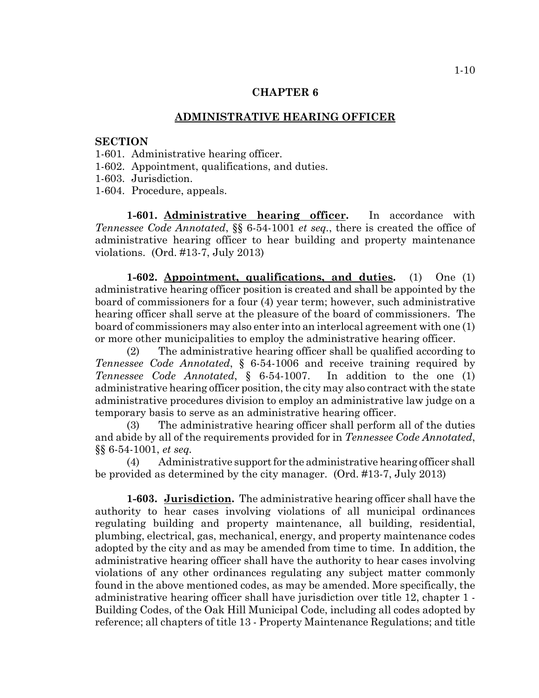# **ADMINISTRATIVE HEARING OFFICER**

# **SECTION**

- 1-601. Administrative hearing officer.
- 1-602. Appointment, qualifications, and duties.
- 1-603. Jurisdiction.
- 1-604. Procedure, appeals.

**1-601. Administrative hearing officer.** In accordance with *Tennessee Code Annotated*, §§ 6-54-1001 *et seq.*, there is created the office of administrative hearing officer to hear building and property maintenance violations. (Ord. #13-7, July 2013)

**1-602. Appointment, qualifications, and duties.** (1) One (1) administrative hearing officer position is created and shall be appointed by the board of commissioners for a four (4) year term; however, such administrative hearing officer shall serve at the pleasure of the board of commissioners. The board of commissioners may also enter into an interlocal agreement with one (1) or more other municipalities to employ the administrative hearing officer.

(2) The administrative hearing officer shall be qualified according to *Tennessee Code Annotated*, § 6-54-1006 and receive training required by *Tennessee Code Annotated*, § 6-54-1007. In addition to the one (1) administrative hearing officer position, the city may also contract with the state administrative procedures division to employ an administrative law judge on a temporary basis to serve as an administrative hearing officer.

(3) The administrative hearing officer shall perform all of the duties and abide by all of the requirements provided for in *Tennessee Code Annotated*, §§ 6-54-1001, *et seq.*

(4) Administrative support for the administrative hearing officer shall be provided as determined by the city manager. (Ord. #13-7, July 2013)

**1-603. Jurisdiction.** The administrative hearing officer shall have the authority to hear cases involving violations of all municipal ordinances regulating building and property maintenance, all building, residential, plumbing, electrical, gas, mechanical, energy, and property maintenance codes adopted by the city and as may be amended from time to time. In addition, the administrative hearing officer shall have the authority to hear cases involving violations of any other ordinances regulating any subject matter commonly found in the above mentioned codes, as may be amended. More specifically, the administrative hearing officer shall have jurisdiction over title 12, chapter 1 - Building Codes, of the Oak Hill Municipal Code, including all codes adopted by reference; all chapters of title 13 - Property Maintenance Regulations; and title